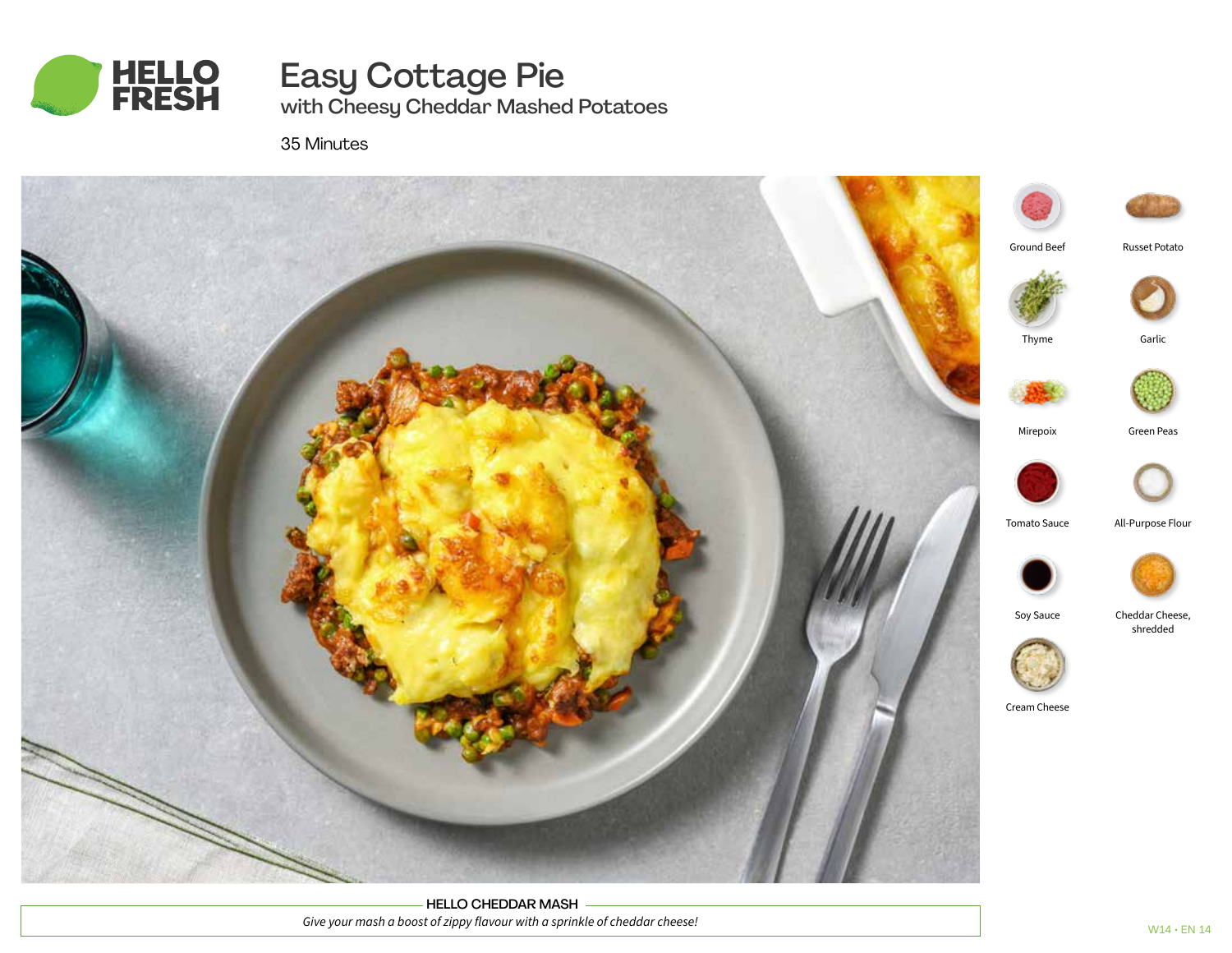

Easy Cottage Pie with Cheesy Cheddar Mashed Potatoes

35 Minutes



HELLO CHEDDAR MASH *Give your mash a boost of zippy flavour with a sprinkle of cheddar cheese!*